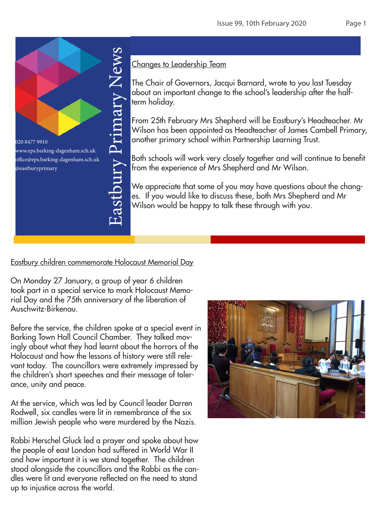

# Changes to Leadership Team

The Chair of Governors, Jacqui Barnard, wrote to you last Tuesday about an important change to the school's leadership after the halfterm holiday.

From 25th February Mrs Shepherd will be Eastbury's Headteacher. Mr Wilson has been appointed as Headteacher of James Cambell Primary, another primary school within Partnership Learning Trust.

Both schools will work very closely together and will continue to benefit from the experience of Mrs Shepherd and Mr Wilson.

We appreciate that some of you may have questions about the changes. If you would like to discuss these, both Mrs Shepherd and Mr Wilson would be happy to talk these through with you.

Eastbury children commemorate Holocaust Memorial Day

On Monday 27 January, a group of year 6 children took part in a special service to mark Holocaust Memorial Day and the 75th anniversary of the liberation of Auschwitz-Birkenau.

Before the service, the children spoke at a special event in Barking Town Hall Council Chamber. They talked movingly about what they had learnt about the horrors of the Holocaust and how the lessons of history were still relevant today. The councillors were extremely impressed by the children's short speeches and their message of tolerance, unity and peace.

At the service, which was led by Council leader Darren Rodwell, six candles were lit in remembrance of the six million Jewish people who were murdered by the Nazis.

Rabbi Herschel Gluck led a prayer and spoke about how the people of east London had suffered in World War II and how important it is we stand together. The children stood alongside the councillors and the Rabbi as the candles were lit and everyone reflected on the need to stand up to injustice across the world.

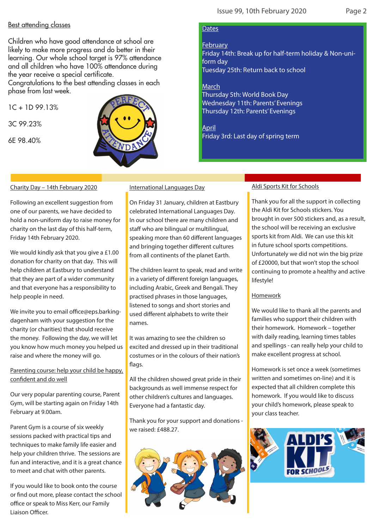### Best attending classes

Children who have good attendance at school are likely to make more progress and do better in their learning. Our whole school target is 97% attendance and all children who have 100% attendance during the year receive a special certificate.

Congratulations to the best attending classes in each phase from last week.

 $1C + 1D$  99 13%

3C 99.23%

6E 98.40%



### **Dates**

February

Friday 14th: Break up for half-term holiday & Non-uniform day Tuesday 25th: Return back to school

**March** 

Thursday 5th: World Book Day Wednesday 11th: Parents' Evenings Thursday 12th: Parents' Evenings

April Friday 3rd: Last day of spring term

#### Charity Day – 14th February 2020

Following an excellent suggestion from one of our parents, we have decided to hold a non-uniform day to raise money for charity on the last day of this half-term, Friday 14th February 2020.

We would kindly ask that you give a £1.00 donation for charity on that day. This will help children at Eastbury to understand that they are part of a wider community and that everyone has a responsibility to help people in need.

We invite you to email office@eps.barkingdagenham with your suggestion for the charity (or charities) that should receive the money. Following the day, we will let you know how much money you helped us raise and where the money will go.

Parenting course: help your child be happy, confident and do well

Our very popular parenting course, Parent Gym, will be starting again on Friday 14th February at 9.00am.

Parent Gym is a course of six weekly sessions packed with practical tips and techniques to make family life easier and help your children thrive. The sessions are fun and interactive, and it is a great chance to meet and chat with other parents.

If you would like to book onto the course or find out more, please contact the school office or speak to Miss Kerr, our Family Liaison Officer.

#### International Languages Day

On Friday 31 January, children at Eastbury celebrated International Languages Day. In our school there are many children and staff who are bilingual or multilingual, speaking more than 60 different languages and bringing together different cultures from all continents of the planet Earth.

The children learnt to speak, read and write in a variety of different foreign languages, including Arabic, Greek and Bengali. They practised phrases in those languages, listened to songs and short stories and used different alphabets to write their names.

It was amazing to see the children so excited and dressed up in their traditional costumes or in the colours of their nation's flags.

All the children showed great pride in their backgrounds as well immense respect for other children's cultures and languages. Everyone had a fantastic day.

Thank you for your support and donations we raised: £488.27.



#### Aldi Sports Kit for Schools

Thank you for all the support in collecting the Aldi Kit for Schools stickers. You brought in over 500 stickers and, as a result, the school will be receiving an exclusive sports kit from Aldi. We can use this kit in future school sports competitions. Unfortunately we did not win the big prize of £20000, but that won't stop the school continuing to promote a healthy and active lifestyle!

#### Homework

We would like to thank all the parents and families who support their children with their homework. Homework – together with daily reading, learning times tables and spellings - can really help your child to make excellent progress at school.

Homework is set once a week (sometimes written and sometimes on-line) and it is expected that all children complete this homework. If you would like to discuss your child's homework, please speak to your class teacher.

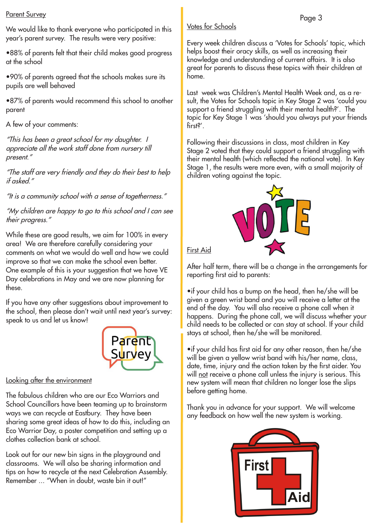We would like to thank everyone who participated in this year's parent survey. The results were very positive:

•88% of parents felt that their child makes good progress at the school

•90% of parents agreed that the schools makes sure its pupils are well behaved

•87% of parents would recommend this school to another parent

A few of your comments:

"This has been a great school for my daughter. I appreciate all the work staff done from nursery till present."

"The staff are very friendly and they do their best to help if asked."

"It is a community school with a sense of togetherness."

"My children are happy to go to this school and I can see their progress."

While these are good results, we aim for 100% in every area! We are therefore carefully considering your comments on what we would do well and how we could improve so that we can make the school even better. One example of this is your suggestion that we have VE Day celebrations in May and we are now planning for these.

If you have any other suggestions about improvement to the school, then please don't wait until next year's survey: speak to us and let us know!



## Looking after the environment

The fabulous children who are our Eco Warriors and School Councillors have been teaming up to brainstorm ways we can recycle at Eastbury. They have been sharing some great ideas of how to do this, including an Eco Warrior Day, a poster competition and setting up a clothes collection bank at school.

Look out for our new bin signs in the playground and classrooms. We will also be sharing information and tips on how to recycle at the next Celebration Assembly. Remember ... "When in doubt, waste bin it out!"

# Votes for Schools

Every week children discuss a 'Votes for Schools' topic, which<br>helps boost their eracy skills, as well as increasing their helps boost their oracy skills, as well as increasing their knowledge and understanding of current affairs. It is also great for parents to discuss these topics with their children at home.

Last week was Children's Mental Health Week and, as a result, the Votes for Schools topic in Key Stage 2 was 'could you support a friend struggling with their mental health?'. The topic for Key Stage 1 was 'should you always put your friends first?'.

Following their discussions in class, most children in Key Stage 2 voted that they could support a friend struggling with their mental health (which reflected the national vote). In Key Stage 1, the results were more even, with a small majority of children voting against the topic.



First Aid

After half term, there will be a change in the arrangements for reporting first aid to parents:

•if your child has a bump on the head, then he/she will be given a green wrist band and you will receive a letter at the end of the day. You will also receive a phone call when it happens. During the phone call, we will discuss whether your child needs to be collected or can stay at school. If your child stays at school, then he/she will be monitored.

•if your child has first aid for any other reason, then he/she will be given a yellow wrist band with his/her name, class, date, time, injury and the action taken by the first aider. You will not receive a phone call unless the injury is serious. This new system will mean that children no longer lose the slips before getting home.

Thank you in advance for your support. We will welcome any feedback on how well the new system is working.

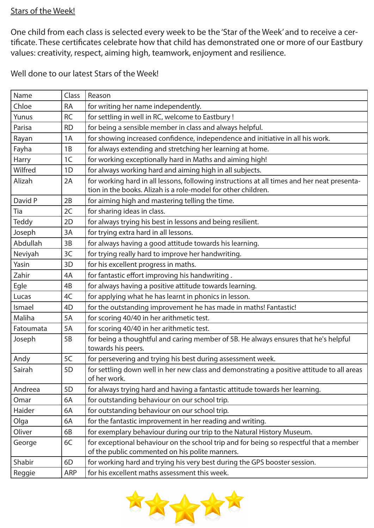# Stars of the Week!

One child from each class is selected every week to be the 'Star of the Week' and to receive a certificate. These certificates celebrate how that child has demonstrated one or more of our Eastbury values: creativity, respect, aiming high, teamwork, enjoyment and resilience.

Well done to our latest Stars of the Week!

| Chloe<br>for writing her name independently.<br><b>RA</b><br>for settling in well in RC, welcome to Eastbury!<br><b>RC</b><br>Yunus<br>for being a sensible member in class and always helpful.<br>Parisa<br><b>RD</b><br>for showing increased confidence, independence and initiative in all his work.<br>1A<br>Rayan<br>for always extending and stretching her learning at home.<br>Fayha<br>1B<br>for working exceptionally hard in Maths and aiming high!<br>Harry<br>1C<br>for always working hard and aiming high in all subjects.<br>Wilfred<br>1 <sub>D</sub><br>for working hard in all lessons, following instructions at all times and her neat presenta-<br>Alizah<br>2A<br>tion in the books. Alizah is a role-model for other children.<br>David P<br>2B<br>for aiming high and mastering telling the time.<br>Tia<br>for sharing ideas in class.<br>2C<br><b>Teddy</b><br>for always trying his best in lessons and being resilient.<br>2D<br>for trying extra hard in all lessons.<br>Joseph<br>3A<br>Abdullah<br>for always having a good attitude towards his learning.<br>3B<br>for trying really hard to improve her handwriting.<br>Neviyah<br>3C<br>Yasin<br>for his excellent progress in maths.<br>3D<br>Zahir<br>for fantastic effort improving his handwriting.<br>4A<br>for always having a positive attitude towards learning.<br>Egle<br>4B<br>for applying what he has learnt in phonics in lesson.<br>4C<br>Lucas<br>for the outstanding improvement he has made in maths! Fantastic!<br>4D<br>Ismael<br>for scoring 40/40 in her arithmetic test.<br>Maliha<br>5A<br>for scoring 40/40 in her arithmetic test.<br>Fatoumata<br>5A<br>for being a thoughtful and caring member of 5B. He always ensures that he's helpful<br>Joseph<br>5B<br>towards his peers.<br>for persevering and trying his best during assessment week.<br>Andy<br>5C<br>5D<br>for settling down well in her new class and demonstrating a positive attitude to all areas<br>Sairah<br>of her work.<br>for always trying hard and having a fantastic attitude towards her learning.<br>5D<br>Andreea<br>for outstanding behaviour on our school trip.<br>Omar<br>6A<br>Haider<br>for outstanding behaviour on our school trip.<br>6A<br>for the fantastic improvement in her reading and writing.<br>Olga<br>6A<br>for exemplary behaviour during our trip to the Natural History Museum.<br>Oliver<br>6B<br>for exceptional behaviour on the school trip and for being so respectful that a member<br>George<br>6C<br>of the public commented on his polite manners.<br>for working hard and trying his very best during the GPS booster session.<br>Shabir<br>6D | Name   | Class | Reason                                        |  |
|----------------------------------------------------------------------------------------------------------------------------------------------------------------------------------------------------------------------------------------------------------------------------------------------------------------------------------------------------------------------------------------------------------------------------------------------------------------------------------------------------------------------------------------------------------------------------------------------------------------------------------------------------------------------------------------------------------------------------------------------------------------------------------------------------------------------------------------------------------------------------------------------------------------------------------------------------------------------------------------------------------------------------------------------------------------------------------------------------------------------------------------------------------------------------------------------------------------------------------------------------------------------------------------------------------------------------------------------------------------------------------------------------------------------------------------------------------------------------------------------------------------------------------------------------------------------------------------------------------------------------------------------------------------------------------------------------------------------------------------------------------------------------------------------------------------------------------------------------------------------------------------------------------------------------------------------------------------------------------------------------------------------------------------------------------------------------------------------------------------------------------------------------------------------------------------------------------------------------------------------------------------------------------------------------------------------------------------------------------------------------------------------------------------------------------------------------------------------------------------------------------------------------------------------------------------------------------------------------------------------------------------------------------------------------|--------|-------|-----------------------------------------------|--|
|                                                                                                                                                                                                                                                                                                                                                                                                                                                                                                                                                                                                                                                                                                                                                                                                                                                                                                                                                                                                                                                                                                                                                                                                                                                                                                                                                                                                                                                                                                                                                                                                                                                                                                                                                                                                                                                                                                                                                                                                                                                                                                                                                                                                                                                                                                                                                                                                                                                                                                                                                                                                                                                                            |        |       |                                               |  |
|                                                                                                                                                                                                                                                                                                                                                                                                                                                                                                                                                                                                                                                                                                                                                                                                                                                                                                                                                                                                                                                                                                                                                                                                                                                                                                                                                                                                                                                                                                                                                                                                                                                                                                                                                                                                                                                                                                                                                                                                                                                                                                                                                                                                                                                                                                                                                                                                                                                                                                                                                                                                                                                                            |        |       |                                               |  |
|                                                                                                                                                                                                                                                                                                                                                                                                                                                                                                                                                                                                                                                                                                                                                                                                                                                                                                                                                                                                                                                                                                                                                                                                                                                                                                                                                                                                                                                                                                                                                                                                                                                                                                                                                                                                                                                                                                                                                                                                                                                                                                                                                                                                                                                                                                                                                                                                                                                                                                                                                                                                                                                                            |        |       |                                               |  |
|                                                                                                                                                                                                                                                                                                                                                                                                                                                                                                                                                                                                                                                                                                                                                                                                                                                                                                                                                                                                                                                                                                                                                                                                                                                                                                                                                                                                                                                                                                                                                                                                                                                                                                                                                                                                                                                                                                                                                                                                                                                                                                                                                                                                                                                                                                                                                                                                                                                                                                                                                                                                                                                                            |        |       |                                               |  |
|                                                                                                                                                                                                                                                                                                                                                                                                                                                                                                                                                                                                                                                                                                                                                                                                                                                                                                                                                                                                                                                                                                                                                                                                                                                                                                                                                                                                                                                                                                                                                                                                                                                                                                                                                                                                                                                                                                                                                                                                                                                                                                                                                                                                                                                                                                                                                                                                                                                                                                                                                                                                                                                                            |        |       |                                               |  |
|                                                                                                                                                                                                                                                                                                                                                                                                                                                                                                                                                                                                                                                                                                                                                                                                                                                                                                                                                                                                                                                                                                                                                                                                                                                                                                                                                                                                                                                                                                                                                                                                                                                                                                                                                                                                                                                                                                                                                                                                                                                                                                                                                                                                                                                                                                                                                                                                                                                                                                                                                                                                                                                                            |        |       |                                               |  |
|                                                                                                                                                                                                                                                                                                                                                                                                                                                                                                                                                                                                                                                                                                                                                                                                                                                                                                                                                                                                                                                                                                                                                                                                                                                                                                                                                                                                                                                                                                                                                                                                                                                                                                                                                                                                                                                                                                                                                                                                                                                                                                                                                                                                                                                                                                                                                                                                                                                                                                                                                                                                                                                                            |        |       |                                               |  |
|                                                                                                                                                                                                                                                                                                                                                                                                                                                                                                                                                                                                                                                                                                                                                                                                                                                                                                                                                                                                                                                                                                                                                                                                                                                                                                                                                                                                                                                                                                                                                                                                                                                                                                                                                                                                                                                                                                                                                                                                                                                                                                                                                                                                                                                                                                                                                                                                                                                                                                                                                                                                                                                                            |        |       |                                               |  |
|                                                                                                                                                                                                                                                                                                                                                                                                                                                                                                                                                                                                                                                                                                                                                                                                                                                                                                                                                                                                                                                                                                                                                                                                                                                                                                                                                                                                                                                                                                                                                                                                                                                                                                                                                                                                                                                                                                                                                                                                                                                                                                                                                                                                                                                                                                                                                                                                                                                                                                                                                                                                                                                                            |        |       |                                               |  |
|                                                                                                                                                                                                                                                                                                                                                                                                                                                                                                                                                                                                                                                                                                                                                                                                                                                                                                                                                                                                                                                                                                                                                                                                                                                                                                                                                                                                                                                                                                                                                                                                                                                                                                                                                                                                                                                                                                                                                                                                                                                                                                                                                                                                                                                                                                                                                                                                                                                                                                                                                                                                                                                                            |        |       |                                               |  |
|                                                                                                                                                                                                                                                                                                                                                                                                                                                                                                                                                                                                                                                                                                                                                                                                                                                                                                                                                                                                                                                                                                                                                                                                                                                                                                                                                                                                                                                                                                                                                                                                                                                                                                                                                                                                                                                                                                                                                                                                                                                                                                                                                                                                                                                                                                                                                                                                                                                                                                                                                                                                                                                                            |        |       |                                               |  |
|                                                                                                                                                                                                                                                                                                                                                                                                                                                                                                                                                                                                                                                                                                                                                                                                                                                                                                                                                                                                                                                                                                                                                                                                                                                                                                                                                                                                                                                                                                                                                                                                                                                                                                                                                                                                                                                                                                                                                                                                                                                                                                                                                                                                                                                                                                                                                                                                                                                                                                                                                                                                                                                                            |        |       |                                               |  |
|                                                                                                                                                                                                                                                                                                                                                                                                                                                                                                                                                                                                                                                                                                                                                                                                                                                                                                                                                                                                                                                                                                                                                                                                                                                                                                                                                                                                                                                                                                                                                                                                                                                                                                                                                                                                                                                                                                                                                                                                                                                                                                                                                                                                                                                                                                                                                                                                                                                                                                                                                                                                                                                                            |        |       |                                               |  |
|                                                                                                                                                                                                                                                                                                                                                                                                                                                                                                                                                                                                                                                                                                                                                                                                                                                                                                                                                                                                                                                                                                                                                                                                                                                                                                                                                                                                                                                                                                                                                                                                                                                                                                                                                                                                                                                                                                                                                                                                                                                                                                                                                                                                                                                                                                                                                                                                                                                                                                                                                                                                                                                                            |        |       |                                               |  |
|                                                                                                                                                                                                                                                                                                                                                                                                                                                                                                                                                                                                                                                                                                                                                                                                                                                                                                                                                                                                                                                                                                                                                                                                                                                                                                                                                                                                                                                                                                                                                                                                                                                                                                                                                                                                                                                                                                                                                                                                                                                                                                                                                                                                                                                                                                                                                                                                                                                                                                                                                                                                                                                                            |        |       |                                               |  |
|                                                                                                                                                                                                                                                                                                                                                                                                                                                                                                                                                                                                                                                                                                                                                                                                                                                                                                                                                                                                                                                                                                                                                                                                                                                                                                                                                                                                                                                                                                                                                                                                                                                                                                                                                                                                                                                                                                                                                                                                                                                                                                                                                                                                                                                                                                                                                                                                                                                                                                                                                                                                                                                                            |        |       |                                               |  |
|                                                                                                                                                                                                                                                                                                                                                                                                                                                                                                                                                                                                                                                                                                                                                                                                                                                                                                                                                                                                                                                                                                                                                                                                                                                                                                                                                                                                                                                                                                                                                                                                                                                                                                                                                                                                                                                                                                                                                                                                                                                                                                                                                                                                                                                                                                                                                                                                                                                                                                                                                                                                                                                                            |        |       |                                               |  |
|                                                                                                                                                                                                                                                                                                                                                                                                                                                                                                                                                                                                                                                                                                                                                                                                                                                                                                                                                                                                                                                                                                                                                                                                                                                                                                                                                                                                                                                                                                                                                                                                                                                                                                                                                                                                                                                                                                                                                                                                                                                                                                                                                                                                                                                                                                                                                                                                                                                                                                                                                                                                                                                                            |        |       |                                               |  |
|                                                                                                                                                                                                                                                                                                                                                                                                                                                                                                                                                                                                                                                                                                                                                                                                                                                                                                                                                                                                                                                                                                                                                                                                                                                                                                                                                                                                                                                                                                                                                                                                                                                                                                                                                                                                                                                                                                                                                                                                                                                                                                                                                                                                                                                                                                                                                                                                                                                                                                                                                                                                                                                                            |        |       |                                               |  |
|                                                                                                                                                                                                                                                                                                                                                                                                                                                                                                                                                                                                                                                                                                                                                                                                                                                                                                                                                                                                                                                                                                                                                                                                                                                                                                                                                                                                                                                                                                                                                                                                                                                                                                                                                                                                                                                                                                                                                                                                                                                                                                                                                                                                                                                                                                                                                                                                                                                                                                                                                                                                                                                                            |        |       |                                               |  |
|                                                                                                                                                                                                                                                                                                                                                                                                                                                                                                                                                                                                                                                                                                                                                                                                                                                                                                                                                                                                                                                                                                                                                                                                                                                                                                                                                                                                                                                                                                                                                                                                                                                                                                                                                                                                                                                                                                                                                                                                                                                                                                                                                                                                                                                                                                                                                                                                                                                                                                                                                                                                                                                                            |        |       |                                               |  |
|                                                                                                                                                                                                                                                                                                                                                                                                                                                                                                                                                                                                                                                                                                                                                                                                                                                                                                                                                                                                                                                                                                                                                                                                                                                                                                                                                                                                                                                                                                                                                                                                                                                                                                                                                                                                                                                                                                                                                                                                                                                                                                                                                                                                                                                                                                                                                                                                                                                                                                                                                                                                                                                                            |        |       |                                               |  |
|                                                                                                                                                                                                                                                                                                                                                                                                                                                                                                                                                                                                                                                                                                                                                                                                                                                                                                                                                                                                                                                                                                                                                                                                                                                                                                                                                                                                                                                                                                                                                                                                                                                                                                                                                                                                                                                                                                                                                                                                                                                                                                                                                                                                                                                                                                                                                                                                                                                                                                                                                                                                                                                                            |        |       |                                               |  |
|                                                                                                                                                                                                                                                                                                                                                                                                                                                                                                                                                                                                                                                                                                                                                                                                                                                                                                                                                                                                                                                                                                                                                                                                                                                                                                                                                                                                                                                                                                                                                                                                                                                                                                                                                                                                                                                                                                                                                                                                                                                                                                                                                                                                                                                                                                                                                                                                                                                                                                                                                                                                                                                                            |        |       |                                               |  |
|                                                                                                                                                                                                                                                                                                                                                                                                                                                                                                                                                                                                                                                                                                                                                                                                                                                                                                                                                                                                                                                                                                                                                                                                                                                                                                                                                                                                                                                                                                                                                                                                                                                                                                                                                                                                                                                                                                                                                                                                                                                                                                                                                                                                                                                                                                                                                                                                                                                                                                                                                                                                                                                                            |        |       |                                               |  |
|                                                                                                                                                                                                                                                                                                                                                                                                                                                                                                                                                                                                                                                                                                                                                                                                                                                                                                                                                                                                                                                                                                                                                                                                                                                                                                                                                                                                                                                                                                                                                                                                                                                                                                                                                                                                                                                                                                                                                                                                                                                                                                                                                                                                                                                                                                                                                                                                                                                                                                                                                                                                                                                                            |        |       |                                               |  |
|                                                                                                                                                                                                                                                                                                                                                                                                                                                                                                                                                                                                                                                                                                                                                                                                                                                                                                                                                                                                                                                                                                                                                                                                                                                                                                                                                                                                                                                                                                                                                                                                                                                                                                                                                                                                                                                                                                                                                                                                                                                                                                                                                                                                                                                                                                                                                                                                                                                                                                                                                                                                                                                                            |        |       |                                               |  |
|                                                                                                                                                                                                                                                                                                                                                                                                                                                                                                                                                                                                                                                                                                                                                                                                                                                                                                                                                                                                                                                                                                                                                                                                                                                                                                                                                                                                                                                                                                                                                                                                                                                                                                                                                                                                                                                                                                                                                                                                                                                                                                                                                                                                                                                                                                                                                                                                                                                                                                                                                                                                                                                                            |        |       |                                               |  |
|                                                                                                                                                                                                                                                                                                                                                                                                                                                                                                                                                                                                                                                                                                                                                                                                                                                                                                                                                                                                                                                                                                                                                                                                                                                                                                                                                                                                                                                                                                                                                                                                                                                                                                                                                                                                                                                                                                                                                                                                                                                                                                                                                                                                                                                                                                                                                                                                                                                                                                                                                                                                                                                                            |        |       |                                               |  |
|                                                                                                                                                                                                                                                                                                                                                                                                                                                                                                                                                                                                                                                                                                                                                                                                                                                                                                                                                                                                                                                                                                                                                                                                                                                                                                                                                                                                                                                                                                                                                                                                                                                                                                                                                                                                                                                                                                                                                                                                                                                                                                                                                                                                                                                                                                                                                                                                                                                                                                                                                                                                                                                                            |        |       |                                               |  |
|                                                                                                                                                                                                                                                                                                                                                                                                                                                                                                                                                                                                                                                                                                                                                                                                                                                                                                                                                                                                                                                                                                                                                                                                                                                                                                                                                                                                                                                                                                                                                                                                                                                                                                                                                                                                                                                                                                                                                                                                                                                                                                                                                                                                                                                                                                                                                                                                                                                                                                                                                                                                                                                                            |        |       |                                               |  |
|                                                                                                                                                                                                                                                                                                                                                                                                                                                                                                                                                                                                                                                                                                                                                                                                                                                                                                                                                                                                                                                                                                                                                                                                                                                                                                                                                                                                                                                                                                                                                                                                                                                                                                                                                                                                                                                                                                                                                                                                                                                                                                                                                                                                                                                                                                                                                                                                                                                                                                                                                                                                                                                                            | Reggie | ARP   | for his excellent maths assessment this week. |  |